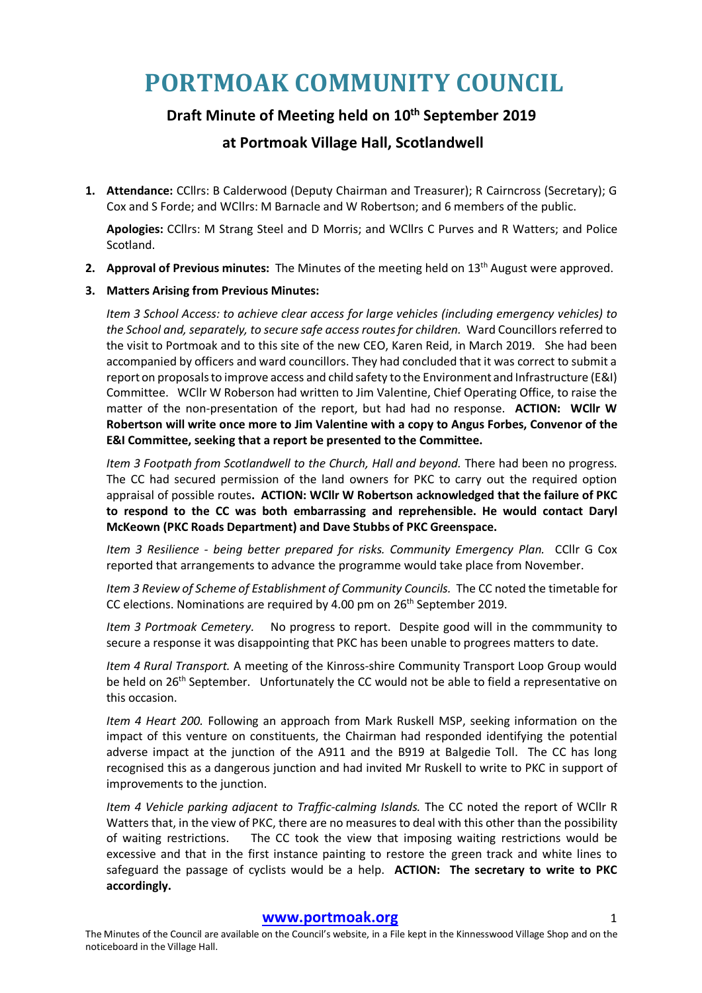# **PORTMOAK COMMUNITY COUNCIL**

## **Draft Minute of Meeting held on 10th September 2019**

**at Portmoak Village Hall, Scotlandwell**

**1. Attendance:** CCllrs: B Calderwood (Deputy Chairman and Treasurer); R Cairncross (Secretary); G Cox and S Forde; and WCllrs: M Barnacle and W Robertson; and 6 members of the public.

**Apologies:** CCllrs: M Strang Steel and D Morris; and WCllrs C Purves and R Watters; and Police Scotland.

**2. Approval of Previous minutes:** The Minutes of the meeting held on 13th August were approved.

#### **3. Matters Arising from Previous Minutes:**

*Item 3 School Access: to achieve clear access for large vehicles (including emergency vehicles) to the School and, separately, to secure safe access routes for children.* Ward Councillors referred to the visit to Portmoak and to this site of the new CEO, Karen Reid, in March 2019. She had been accompanied by officers and ward councillors. They had concluded that it was correct to submit a report on proposals to improve access and child safety to the Environment and Infrastructure (E&I) Committee. WCllr W Roberson had written to Jim Valentine, Chief Operating Office, to raise the matter of the non-presentation of the report, but had had no response. **ACTION: WCllr W Robertson will write once more to Jim Valentine with a copy to Angus Forbes, Convenor of the E&I Committee, seeking that a report be presented to the Committee.**

*Item 3 Footpath from Scotlandwell to the Church, Hall and beyond.* There had been no progress. The CC had secured permission of the land owners for PKC to carry out the required option appraisal of possible routes**.****ACTION: WCllr W Robertson acknowledged that the failure of PKC to respond to the CC was both embarrassing and reprehensible. He would contact Daryl McKeown (PKC Roads Department) and Dave Stubbs of PKC Greenspace.**

*Item 3 Resilience - being better prepared for risks. Community Emergency Plan.* CCllr G Cox reported that arrangements to advance the programme would take place from November.

*Item 3 Review of Scheme of Establishment of Community Councils.* The CC noted the timetable for CC elections. Nominations are required by 4.00 pm on 26<sup>th</sup> September 2019.

*Item 3 Portmoak Cemetery.* No progress to report. Despite good will in the commmunity to secure a response it was disappointing that PKC has been unable to progrees matters to date.

*Item 4 Rural Transport.* A meeting of the Kinross-shire Community Transport Loop Group would be held on 26<sup>th</sup> September. Unfortunately the CC would not be able to field a representative on this occasion.

*Item 4 Heart 200.* Following an approach from Mark Ruskell MSP, seeking information on the impact of this venture on constituents, the Chairman had responded identifying the potential adverse impact at the junction of the A911 and the B919 at Balgedie Toll. The CC has long recognised this as a dangerous junction and had invited Mr Ruskell to write to PKC in support of improvements to the junction.

*Item 4 Vehicle parking adjacent to Traffic-calming Islands.* The CC noted the report of WCllr R Watters that, in the view of PKC, there are no measures to deal with this other than the possibility of waiting restrictions. The CC took the view that imposing waiting restrictions would be excessive and that in the first instance painting to restore the green track and white lines to safeguard the passage of cyclists would be a help. **ACTION: The secretary to write to PKC accordingly.** 

#### **www.portmoak.org** 1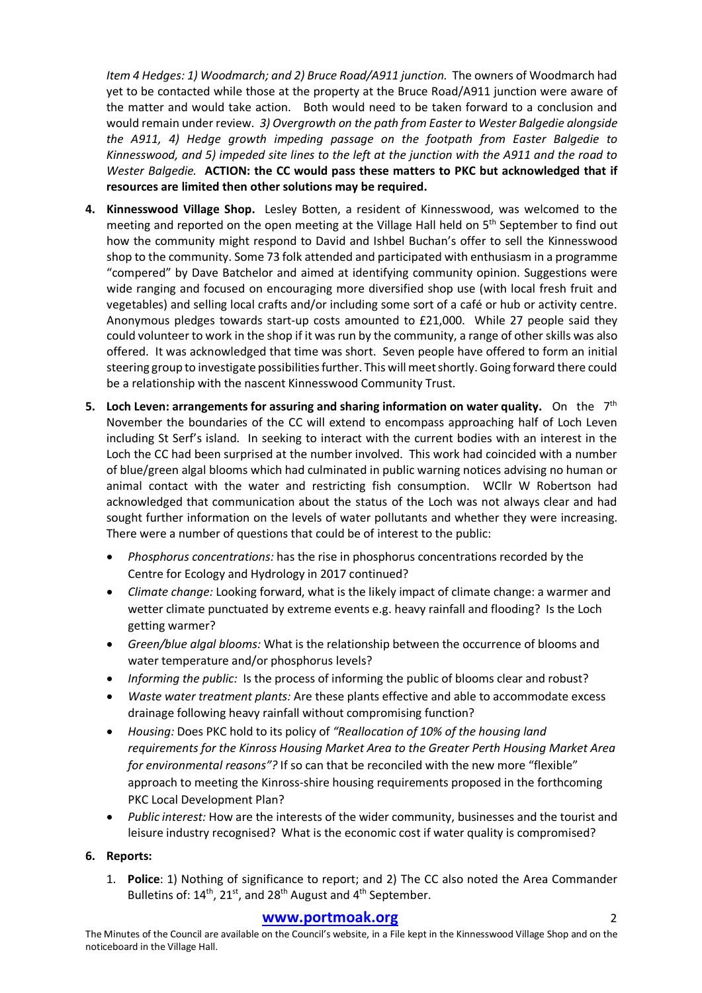*Item 4 Hedges: 1) Woodmarch; and 2) Bruce Road/A911 junction.* The owners of Woodmarch had yet to be contacted while those at the property at the Bruce Road/A911 junction were aware of the matter and would take action. Both would need to be taken forward to a conclusion and would remain under review. *3) Overgrowth on the path from Easter to Wester Balgedie alongside the A911, 4) Hedge growth impeding passage on the footpath from Easter Balgedie to Kinnesswood, and 5) impeded site lines to the left at the junction with the A911 and the road to Wester Balgedie.* **ACTION: the CC would pass these matters to PKC but acknowledged that if resources are limited then other solutions may be required.** 

- **4. Kinnesswood Village Shop.** Lesley Botten, a resident of Kinnesswood, was welcomed to the meeting and reported on the open meeting at the Village Hall held on 5<sup>th</sup> September to find out how the community might respond to David and Ishbel Buchan's offer to sell the Kinnesswood shop to the community. Some 73 folk attended and participated with enthusiasm in a programme "compered" by Dave Batchelor and aimed at identifying community opinion. Suggestions were wide ranging and focused on encouraging more diversified shop use (with local fresh fruit and vegetables) and selling local crafts and/or including some sort of a café or hub or activity centre. Anonymous pledges towards start-up costs amounted to £21,000. While 27 people said they could volunteer to work in the shop if it was run by the community, a range of other skills was also offered. It was acknowledged that time was short. Seven people have offered to form an initial steering group to investigate possibilities further. This will meet shortly. Going forward there could be a relationship with the nascent Kinnesswood Community Trust.
- **5. Loch Leven: arrangements for assuring and sharing information on water quality.** On the 7th November the boundaries of the CC will extend to encompass approaching half of Loch Leven including St Serf's island. In seeking to interact with the current bodies with an interest in the Loch the CC had been surprised at the number involved. This work had coincided with a number of blue/green algal blooms which had culminated in public warning notices advising no human or animal contact with the water and restricting fish consumption. WCllr W Robertson had acknowledged that communication about the status of the Loch was not always clear and had sought further information on the levels of water pollutants and whether they were increasing. There were a number of questions that could be of interest to the public:
	- *Phosphorus concentrations:* has the rise in phosphorus concentrations recorded by the Centre for Ecology and Hydrology in 2017 continued?
	- *Climate change:* Looking forward, what is the likely impact of climate change: a warmer and wetter climate punctuated by extreme events e.g. heavy rainfall and flooding? Is the Loch getting warmer?
	- *Green/blue algal blooms:* What is the relationship between the occurrence of blooms and water temperature and/or phosphorus levels?
	- *Informing the public:* Is the process of informing the public of blooms clear and robust?
	- *Waste water treatment plants:* Are these plants effective and able to accommodate excess drainage following heavy rainfall without compromising function?
	- *Housing:* Does PKC hold to its policy of *"Reallocation of 10% of the housing land requirements for the Kinross Housing Market Area to the Greater Perth Housing Market Area for environmental reasons"?* If so can that be reconciled with the new more "flexible" approach to meeting the Kinross-shire housing requirements proposed in the forthcoming PKC Local Development Plan?
	- *Public interest:* How are the interests of the wider community, businesses and the tourist and leisure industry recognised? What is the economic cost if water quality is compromised?

#### **6. Reports:**

1. **Police**: 1) Nothing of significance to report; and 2) The CC also noted the Area Commander Bulletins of: 14<sup>th</sup>, 21<sup>st</sup>, and 28<sup>th</sup> August and 4<sup>th</sup> September.

## **www.portmoak.org** 2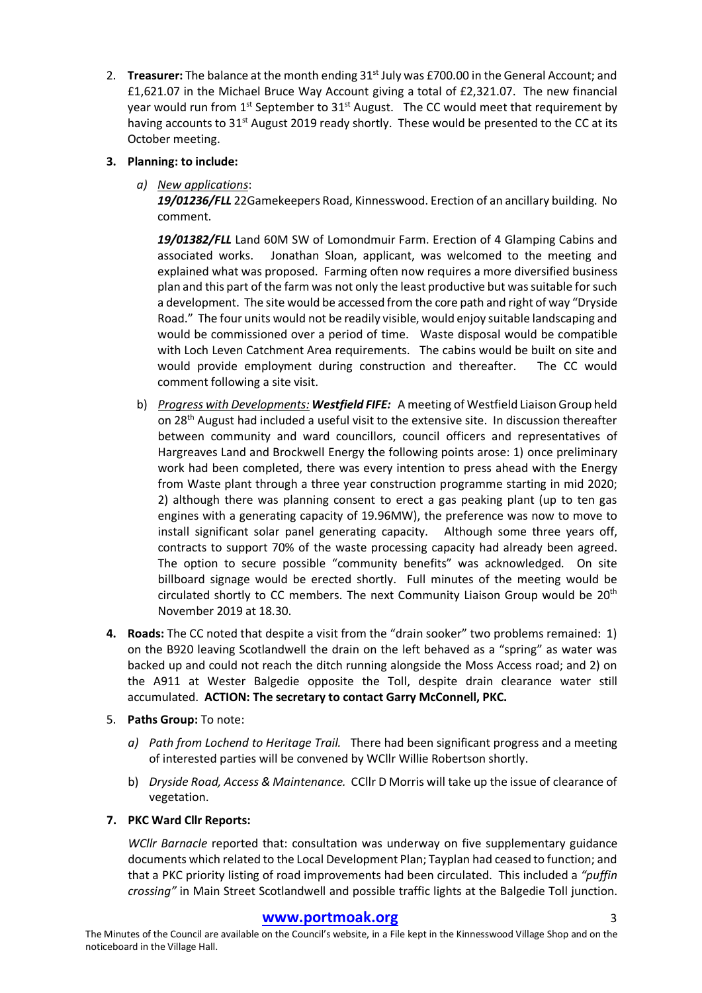2. **Treasurer:** The balance at the month ending 31<sup>st</sup> July was £700.00 in the General Account; and £1,621.07 in the Michael Bruce Way Account giving a total of £2,321.07. The new financial year would run from  $1^{st}$  September to  $31^{st}$  August. The CC would meet that requirement by having accounts to  $31<sup>st</sup>$  August 2019 ready shortly. These would be presented to the CC at its October meeting.

#### **3. Planning: to include:**

*a) New applications*:

*19/01236/FLL* 22Gamekeepers Road, Kinnesswood. Erection of an ancillary building. No comment.

*19/01382/FLL* Land 60M SW of Lomondmuir Farm. Erection of 4 Glamping Cabins and associated works.Jonathan Sloan, applicant, was welcomed to the meeting and explained what was proposed. Farming often now requires a more diversified business plan and this part of the farm was not only the least productive but was suitable for such a development. The site would be accessed from the core path and right of way "Dryside Road." The four units would not be readily visible, would enjoy suitable landscaping and would be commissioned over a period of time. Waste disposal would be compatible with Loch Leven Catchment Area requirements. The cabins would be built on site and would provide employment during construction and thereafter. The CC would comment following a site visit.

- b) *Progress with Developments: Westfield FIFE:* A meeting of Westfield Liaison Group held on 28th August had included a useful visit to the extensive site. In discussion thereafter between community and ward councillors, council officers and representatives of Hargreaves Land and Brockwell Energy the following points arose: 1) once preliminary work had been completed, there was every intention to press ahead with the Energy from Waste plant through a three year construction programme starting in mid 2020; 2) although there was planning consent to erect a gas peaking plant (up to ten gas engines with a generating capacity of 19.96MW), the preference was now to move to install significant solar panel generating capacity. Although some three years off, contracts to support 70% of the waste processing capacity had already been agreed. The option to secure possible "community benefits" was acknowledged. On site billboard signage would be erected shortly. Full minutes of the meeting would be circulated shortly to CC members. The next Community Liaison Group would be 20th November 2019 at 18.30.
- **4. Roads:** The CC noted that despite a visit from the "drain sooker" two problems remained: 1) on the B920 leaving Scotlandwell the drain on the left behaved as a "spring" as water was backed up and could not reach the ditch running alongside the Moss Access road; and 2) on the A911 at Wester Balgedie opposite the Toll, despite drain clearance water still accumulated. **ACTION: The secretary to contact Garry McConnell, PKC.**
- 5. **Paths Group:** To note:
	- *a) Path from Lochend to Heritage Trail.* There had been significant progress and a meeting of interested parties will be convened by WCllr Willie Robertson shortly.
	- b) *Dryside Road, Access & Maintenance.* CCllr D Morris will take up the issue of clearance of vegetation.

#### **7. PKC Ward Cllr Reports:**

*WCllr Barnacle* reported that: consultation was underway on five supplementary guidance documents which related to the Local Development Plan; Tayplan had ceased to function; and that a PKC priority listing of road improvements had been circulated. This included a *"puffin crossing"* in Main Street Scotlandwell and possible traffic lights at the Balgedie Toll junction.

## **www.portmoak.org** 3